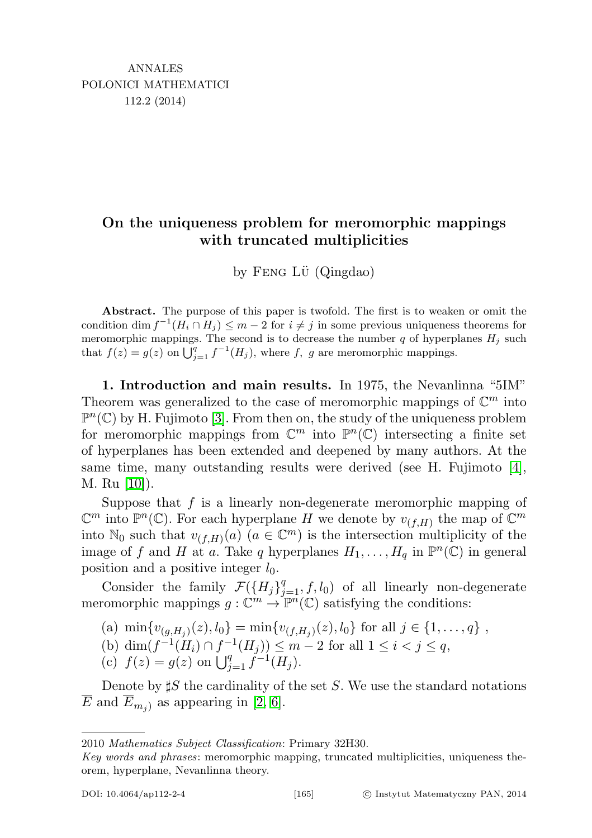## On the uniqueness problem for meromorphic mappings with truncated multiplicities

by FENG L $\ddot{\text{U}}$  (Qingdao)

Abstract. The purpose of this paper is twofold. The first is to weaken or omit the condition dim  $f^{-1}(H_i \cap H_j) \leq m-2$  for  $i \neq j$  in some previous uniqueness theorems for meromorphic mappings. The second is to decrease the number  $q$  of hyperplanes  $H_j$  such that  $f(z) = g(z)$  on  $\bigcup_{j=1}^{q} f^{-1}(H_j)$ , where f, g are meromorphic mappings.

1. Introduction and main results. In 1975, the Nevanlinna "5IM" Theorem was generalized to the case of meromorphic mappings of  $\mathbb{C}^m$  into  $\mathbb{P}^n(\mathbb{C})$  by H. Fujimoto [\[3\]](#page-13-0). From then on, the study of the uniqueness problem for meromorphic mappings from  $\mathbb{C}^m$  into  $\mathbb{P}^n(\mathbb{C})$  intersecting a finite set of hyperplanes has been extended and deepened by many authors. At the same time, many outstanding results were derived (see H. Fujimoto [\[4\]](#page-13-1), M. Ru [\[10\]](#page-14-0)).

Suppose that  $f$  is a linearly non-degenerate meromorphic mapping of  $\mathbb{C}^m$  into  $\mathbb{P}^n(\mathbb{C})$ . For each hyperplane H we denote by  $v_{(f,H)}$  the map of  $\mathbb{C}^m$ into N<sub>0</sub> such that  $v_{(f,H)}(a)$   $(a \in \mathbb{C}^m)$  is the intersection multiplicity of the image of f and H at a. Take q hyperplanes  $H_1, \ldots, H_q$  in  $\mathbb{P}^n(\mathbb{C})$  in general position and a positive integer  $l_0$ .

Consider the family  $\mathcal{F}(\lbrace H_j \rbrace_{j=1}^q, f, l_0)$  of all linearly non-degenerate meromorphic mappings  $g: \mathbb{C}^m \to \mathbb{P}^n(\mathbb{C})$  satisfying the conditions:

(a) 
$$
\min\{v_{(g,H_j)}(z), l_0\} = \min\{v_{(f,H_j)}(z), l_0\}
$$
 for all  $j \in \{1, ..., q\}$ ,

(b) dim
$$
(f^{-1}(H_i) \cap f^{-1}(H_j)) \le m - 2
$$
 for all  $1 \le i < j \le q$ ,

(c)  $f(z) = g(z)$  on  $\bigcup_{j=1}^{q} f^{-1}(H_j)$ .

Denote by  $\sharp S$  the cardinality of the set S. We use the standard notations  $\overline{E}$  and  $\overline{E}_{m_i}$  as appearing in [\[2,](#page-13-2) [6\]](#page-13-3).

<sup>2010</sup> Mathematics Subject Classification: Primary 32H30.

Key words and phrases: meromorphic mapping, truncated multiplicities, uniqueness theorem, hyperplane, Nevanlinna theory.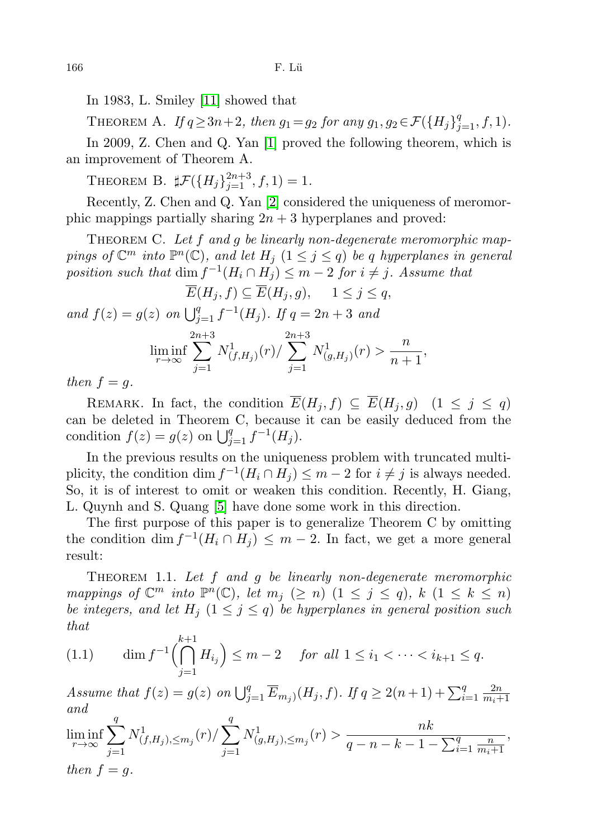In 1983, L. Smiley [\[11\]](#page-14-1) showed that

THEOREM A. If  $q \ge 3n+2$ , then  $g_1 = g_2$  for any  $g_1, g_2 \in \mathcal{F}(\{H_j\}_{j=1}^q, f, 1)$ .

In 2009, Z. Chen and Q. Yan [\[1\]](#page-13-4) proved the following theorem, which is an improvement of Theorem A.

THEOREM B.  $\sharp \mathcal{F}(\{H_j\}_{j=1}^{2n+3}, f, 1) = 1.$ 

Recently, Z. Chen and Q. Yan [\[2\]](#page-13-2) considered the uniqueness of meromorphic mappings partially sharing  $2n + 3$  hyperplanes and proved:

THEOREM C. Let  $f$  and  $g$  be linearly non-degenerate meromorphic mappings of  $\mathbb{C}^m$  into  $\mathbb{P}^n(\mathbb{C})$ , and let  $H_j$   $(1 \leq j \leq q)$  be q hyperplanes in general position such that  $\dim f^{-1}(H_i \cap H_j) \leq m-2$  for  $i \neq j$ . Assume that

$$
\overline{E}(H_j, f) \subseteq \overline{E}(H_j, g), \quad 1 \le j \le q,
$$
  
and  $f(z) = g(z)$  on  $\bigcup_{j=1}^q f^{-1}(H_j)$ . If  $q = 2n + 3$  and  

$$
\liminf_{r \to \infty} \sum_{j=1}^{2n+3} N^1_{(f, H_j)}(r) / \sum_{j=1}^{2n+3} N^1_{(g, H_j)}(r) > \frac{n}{n+1},
$$

then  $f = g$ .

REMARK. In fact, the condition  $\overline{E}(H_j, f) \subseteq \overline{E}(H_j, g)$   $(1 \leq j \leq q)$ can be deleted in Theorem C, because it can be easily deduced from the condition  $f(z) = g(z)$  on  $\bigcup_{j=1}^{q} f^{-1}(H_j)$ .

In the previous results on the uniqueness problem with truncated multiplicity, the condition  $\dim f^{-1}(H_i \cap H_j) \leq m-2$  for  $i \neq j$  is always needed. So, it is of interest to omit or weaken this condition. Recently, H. Giang, L. Quynh and S. Quang [\[5\]](#page-13-5) have done some work in this direction.

The first purpose of this paper is to generalize Theorem C by omitting the condition dim  $f^{-1}(H_i \cap H_j) \leq m-2$ . In fact, we get a more general result:

<span id="page-1-1"></span>THEOREM 1.1. Let  $f$  and  $g$  be linearly non-degenerate meromorphic mappings of  $\mathbb{C}^m$  into  $\mathbb{P}^n(\mathbb{C})$ , let  $m_j \ (\geq n)$   $(1 \leq j \leq q)$ ,  $k \ (1 \leq k \leq n)$ be integers, and let  $H_i$   $(1 \leq j \leq q)$  be hyperplanes in general position such that

<span id="page-1-0"></span>(1.1) 
$$
\dim f^{-1}\left(\bigcap_{j=1}^{k+1} H_{i_j}\right) \leq m-2 \quad \text{for all } 1 \leq i_1 < \cdots < i_{k+1} \leq q.
$$

Assume that  $f(z) = g(z)$  on  $\bigcup_{j=1}^{q} \overline{E}_{m_j}(H_j, f)$ . If  $q \geq 2(n+1) + \sum_{i=1}^{q} \frac{2n}{m_i + 1}$  $m_i+1$ and

$$
\liminf_{r \to \infty} \sum_{j=1}^{q} N_{(f,H_j),\leq m_j}^1(r) / \sum_{j=1}^{q} N_{(g,H_j),\leq m_j}^1(r) > \frac{nk}{q-n-k-1-\sum_{i=1}^{q} \frac{n}{m_i+1}},
$$
  
then  $f = g$ .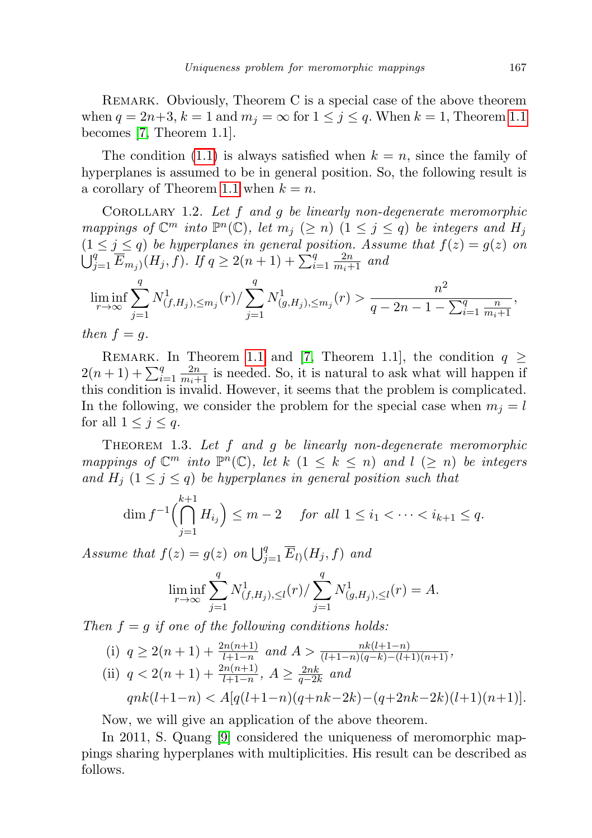REMARK. Obviously, Theorem C is a special case of the above theorem when  $q = 2n+3$ ,  $k = 1$  and  $m<sub>j</sub> = \infty$  for  $1 \leq j \leq q$ . When  $k = 1$ , Theorem [1.1](#page-1-0) becomes [\[7,](#page-13-6) Theorem 1.1].

The condition [\(1.1\)](#page-1-0) is always satisfied when  $k = n$ , since the family of hyperplanes is assumed to be in general position. So, the following result is a corollary of Theorem [1.1](#page-1-1) when  $k = n$ .

COROLLARY 1.2. Let  $f$  and  $g$  be linearly non-degenerate meromorphic mappings of  $\mathbb{C}^m$  into  $\mathbb{P}^n(\mathbb{C})$ , let  $m_j \ (\geq n)$   $(1 \leq j \leq q)$  be integers and  $H_j$  $(1 \leq j \leq q)$  be hyperplanes in general position. Assume that  $f(z) = g(z)$  on  $\bigcup_{j=1}^{q} \overline{E}_{m_j}(H_j, f)$ . If  $q \geq 2(n+1) + \sum_{i=1}^{q} \frac{2n}{m_i+1}$  and

$$
\liminf_{r \to \infty} \sum_{j=1}^{q} N_{(f,H_j),\leq m_j}^1(r) / \sum_{j=1}^{q} N_{(g,H_j),\leq m_j}^1(r) > \frac{n^2}{q - 2n - 1 - \sum_{i=1}^{q} \frac{n}{m_i + 1}},
$$

then  $f = g$ .

REMARK. In Theorem [1.1](#page-1-1) and [\[7,](#page-13-6) Theorem 1.1], the condition  $q \geq$  $2(n+1) + \sum_{i=1}^{q} \frac{2n}{m_i+1}$  is needed. So, it is natural to ask what will happen if this condition is invalid. However, it seems that the problem is complicated. In the following, we consider the problem for the special case when  $m_j = l$ for all  $1 \leq j \leq q$ .

<span id="page-2-0"></span>THEOREM 1.3. Let  $f$  and  $g$  be linearly non-degenerate meromorphic mappings of  $\mathbb{C}^m$  into  $\mathbb{P}^n(\mathbb{C})$ , let  $k \ (1 \leq k \leq n)$  and  $l \ (\geq n)$  be integers and  $H_i$   $(1 \leq j \leq q)$  be hyperplanes in general position such that

$$
\dim f^{-1}\left(\bigcap_{j=1}^{k+1} H_{i_j}\right) \le m-2 \quad \text{ for all } 1 \le i_1 < \dots < i_{k+1} \le q.
$$

Assume that  $f(z) = g(z)$  on  $\bigcup_{j=1}^{q} \overline{E}_l(u_j, f)$  and

$$
\liminf_{r \to \infty} \sum_{j=1}^{q} N^1_{(f,H_j),\le l}(r) / \sum_{j=1}^{q} N^1_{(g,H_j),\le l}(r) = A.
$$

Then  $f = g$  if one of the following conditions holds:

(i) 
$$
q \ge 2(n+1) + \frac{2n(n+1)}{l+1-n}
$$
 and  $A > \frac{n k(l+1-n)}{(l+1-n)(q-k)-(l+1)(n+1)}$ ,  
\n(ii)  $q < 2(n+1) + \frac{2n(n+1)}{l+1-n}$ ,  $A \ge \frac{2nk}{q-2k}$  and  
\n $qn k(l+1-n) < A[q(l+1-n)(q+nk-2k)-(q+2nk-2k)(l+1)(n+1)]$ .

Now, we will give an application of the above theorem.

In 2011, S. Quang [\[9\]](#page-13-7) considered the uniqueness of meromorphic mappings sharing hyperplanes with multiplicities. His result can be described as follows.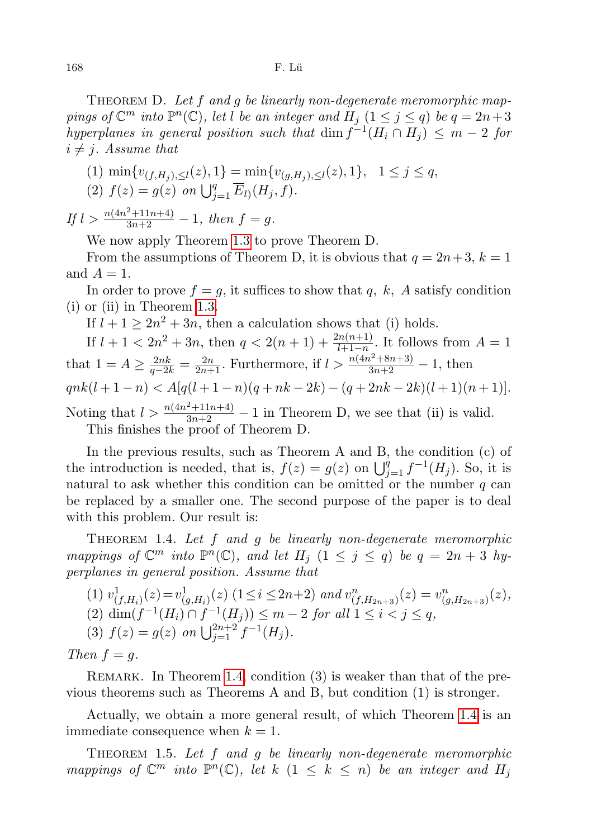THEOREM D. Let f and g be linearly non-degenerate meromorphic mappings of  $\mathbb{C}^m$  into  $\mathbb{P}^n(\mathbb{C})$ , let l be an integer and  $H_j$   $(1 \leq j \leq q)$  be  $q = 2n+3$ hyperplanes in general position such that  $\dim f^{-1}(H_i \cap H_j) \leq m-2$  for  $i \neq j$ . Assume that

(1) 
$$
\min\{v_{(f,H_j),\leq l}(z), 1\} = \min\{v_{(g,H_j),\leq l}(z), 1\}, \quad 1 \leq j \leq q,
$$
  
(2)  $f(z) = g(z)$  on  $\bigcup_{j=1}^{q} \overline{E}_{l}(H_j, f).$ 

If  $l > \frac{n(4n^2+11n+4)}{3n+2} - 1$ , then  $f = g$ .

We now apply Theorem [1.3](#page-2-0) to prove Theorem D.

From the assumptions of Theorem D, it is obvious that  $q = 2n+3$ ,  $k = 1$ and  $A = 1$ .

In order to prove  $f = g$ , it suffices to show that q, k, A satisfy condition (i) or (ii) in Theorem [1.3.](#page-2-0)

If  $l + 1 \geq 2n^2 + 3n$ , then a calculation shows that (i) holds.

If  $l + 1 < 2n^2 + 3n$ , then  $q < 2(n + 1) + \frac{2n(n+1)}{l+1-n}$ . It follows from  $A = 1$ that  $1 = A \ge \frac{2nk}{q-2k} = \frac{2n}{2n+1}$ . Furthermore, if  $l > \frac{n(4n^2+8n+3)}{3n+2} - 1$ , then  $qnk(l+1-n) < A[q(l+1-n)(q+nk-2k)-(q+2nk-2k)(l+1)(n+1)].$ Noting that  $l > \frac{n(4n^2+11n+4)}{3n+2} - 1$  in Theorem D, we see that (ii) is valid. This finishes the proof of Theorem D.

In the previous results, such as Theorem A and B, the condition (c) of the introduction is needed, that is,  $f(z) = g(z)$  on  $\bigcup_{j=1}^{q} f^{-1}(H_j)$ . So, it is natural to ask whether this condition can be omitted or the number  $q$  can be replaced by a smaller one. The second purpose of the paper is to deal with this problem. Our result is:

<span id="page-3-0"></span>THEOREM 1.4. Let f and q be linearly non-degenerate meromorphic mappings of  $\mathbb{C}^m$  into  $\mathbb{P}^n(\mathbb{C})$ , and let  $H_j$   $(1 \leq j \leq q)$  be  $q = 2n + 3$  hyperplanes in general position. Assume that

(1) 
$$
v^1_{(f,H_i)}(z) = v^1_{(g,H_i)}(z)
$$
  $(1 \le i \le 2n+2)$  and  $v^n_{(f,H_{2n+3})}(z) = v^n_{(g,H_{2n+3})}(z)$ ,  
\n(2)  $\dim(f^{-1}(H_i) \cap f^{-1}(H_j)) \le m-2$  for all  $1 \le i < j \le q$ ,  
\n(3)  $f(z) = g(z)$  on  $\bigcup_{j=1}^{2n+2} f^{-1}(H_j)$ .

Then  $f = q$ .

REMARK. In Theorem [1.4,](#page-3-0) condition (3) is weaker than that of the previous theorems such as Theorems A and B, but condition (1) is stronger.

Actually, we obtain a more general result, of which Theorem [1.4](#page-3-0) is an immediate consequence when  $k = 1$ .

<span id="page-3-1"></span>THEOREM 1.5. Let  $f$  and  $g$  be linearly non-degenerate meromorphic mappings of  $\mathbb{C}^m$  into  $\mathbb{P}^n(\mathbb{C})$ , let  $k$   $(1 \leq k \leq n)$  be an integer and  $H_j$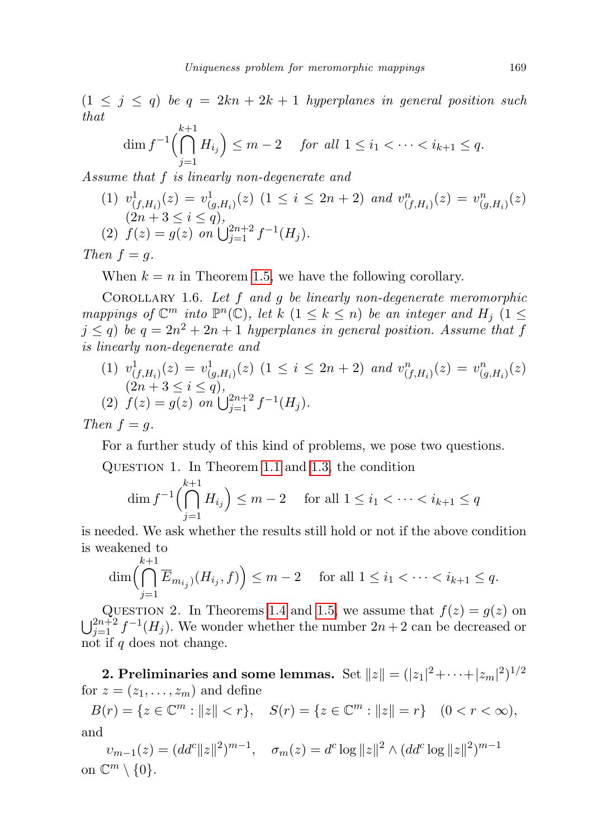$(1 \leq j \leq q)$  be  $q = 2kn + 2k + 1$  hyperplanes in general position such that

$$
\dim f^{-1}\left(\bigcap_{j=1}^{k+1} H_{i_j}\right) \le m-2 \quad \text{ for all } 1 \le i_1 < \dots < i_{k+1} \le q.
$$

Assume that f is linearly non-degenerate and

(1) 
$$
v^1_{(f,H_i)}(z) = v^1_{(g,H_i)}(z)
$$
  $(1 \le i \le 2n + 2)$  and  $v^n_{(f,H_i)}(z) = v^n_{(g,H_i)}(z)$   
\n $(2n + 3 \le i \le q)$ ,  
\n(2)  $f(z) = g(z)$  on  $\bigcup_{j=1}^{2n+2} f^{-1}(H_j)$ .

Then  $f = g$ .

When  $k = n$  in Theorem [1.5,](#page-3-1) we have the following corollary.

COROLLARY 1.6. Let  $f$  and  $g$  be linearly non-degenerate meromorphic mappings of  $\mathbb{C}^m$  into  $\mathbb{P}^n(\mathbb{C})$ , let k  $(1 \leq k \leq n)$  be an integer and  $H_j$   $(1 \leq$  $j \leq q$ ) be  $q = 2n^2 + 2n + 1$  hyperplanes in general position. Assume that f is linearly non-degenerate and

(1)  $v^1_{(f,H_i)}(z) = v^1_{(g,H_i)}(z)$  (1  $\leq i \leq 2n+2$ ) and  $v^n_{(f,H_i)}(z) = v^n_{(g,H_i)}(z)$  $(2n+3\leq i\leq q),$ (2)  $f(z) = g(z)$  on  $\bigcup_{j=1}^{2n+2} f^{-1}(H_j)$ .

Then  $f = q$ .

For a further study of this kind of problems, we pose two questions.

Question 1. In Theorem [1.1](#page-1-1) and [1.3,](#page-2-0) the condition

$$
\dim f^{-1}\left(\bigcap_{j=1}^{k+1} H_{i_j}\right) \le m-2 \quad \text{ for all } 1 \le i_1 < \dots < i_{k+1} \le q
$$

is needed. We ask whether the results still hold or not if the above condition is weakened to

$$
\dim\left(\bigcap_{j=1}^{k+1}\overline{E}_{m_{i_j}}(H_{i_j},f)\right)\leq m-2 \quad \text{ for all } 1\leq i_1<\cdots
$$

QUESTION 2. In Theorems [1.4](#page-3-0) and [1.5,](#page-3-1) we assume that  $f(z) = g(z)$  on  $\bigcup_{j=1}^{2n+2} f^{-1}(H_j)$ . We wonder whether the number  $2n+2$  can be decreased or not if q does not change.

2. Preliminaries and some lemmas. Set  $\|z\|=(|z_1|^2+\cdots+|z_m|^2)^{1/2}$ for  $z = (z_1, \ldots, z_m)$  and define

$$
B(r) = \{ z \in \mathbb{C}^m : ||z|| < r \}, \quad S(r) = \{ z \in \mathbb{C}^m : ||z|| = r \} \quad (0 < r < \infty),
$$
\nand

 $v_{m-1}(z) = (dd^c ||z||^2)^{m-1}, \quad \sigma_m(z) = d^c \log ||z||^2 \wedge (dd^c \log ||z||^2)^{m-1}$ on  $\mathbb{C}^m \setminus \{0\}.$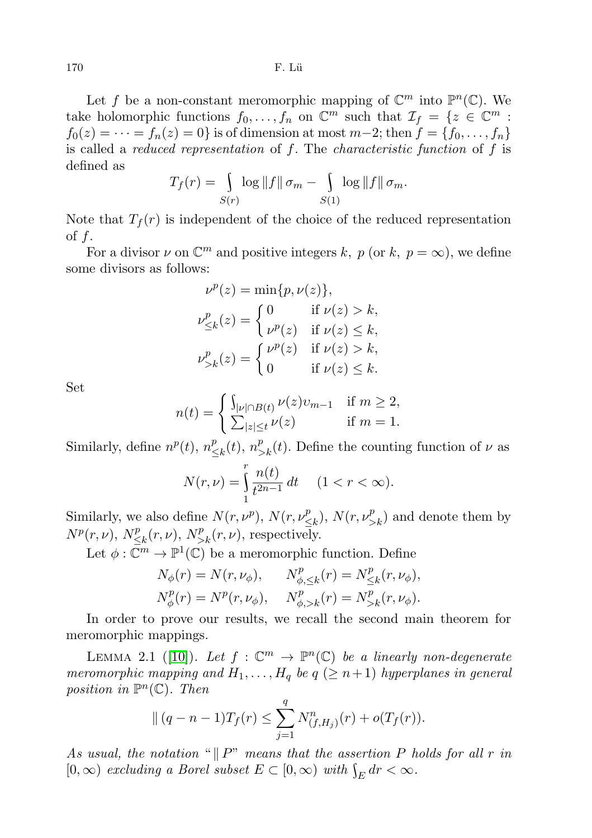Let f be a non-constant meromorphic mapping of  $\mathbb{C}^m$  into  $\mathbb{P}^n(\mathbb{C})$ . We take holomorphic functions  $f_0, \ldots, f_n$  on  $\mathbb{C}^m$  such that  $\mathcal{I}_f = \{z \in \mathbb{C}^m :$  $f_0(z) = \cdots = f_n(z) = 0$  is of dimension at most  $m-2$ ; then  $f = \{f_0, \ldots, f_n\}$ is called a *reduced representation* of  $f$ . The *characteristic function* of  $f$  is defined as

$$
T_f(r) = \int_{S(r)} \log ||f|| \sigma_m - \int_{S(1)} \log ||f|| \sigma_m.
$$

Note that  $T_f(r)$  is independent of the choice of the reduced representation of  $f$ .

For a divisor  $\nu$  on  $\mathbb{C}^m$  and positive integers k, p (or k,  $p = \infty$ ), we define some divisors as follows:

$$
\nu^{p}(z) = \min\{p, \nu(z)\},
$$
  

$$
\nu^{p}_{\leq k}(z) = \begin{cases} 0 & \text{if } \nu(z) > k, \\ \nu^{p}(z) & \text{if } \nu(z) \leq k, \end{cases}
$$
  

$$
\nu^{p}_{>k}(z) = \begin{cases} \nu^{p}(z) & \text{if } \nu(z) > k, \\ 0 & \text{if } \nu(z) \leq k. \end{cases}
$$

Set

$$
n(t) = \begin{cases} \int_{|\nu| \cap B(t)} \nu(z) v_{m-1} & \text{if } m \ge 2, \\ \sum_{|z| \le t} \nu(z) & \text{if } m = 1. \end{cases}
$$

Similarly, define  $n^p(t)$ ,  $n^p_s$  $\sum_{k=1}^{p}(t)$ ,  $n_{\geq k}^{p}(t)$ . Define the counting function of  $\nu$  as

$$
N(r,\nu)=\int\limits_1^r\frac{n(t)}{t^{2n-1}}\,dt\quad \ (1
$$

Similarly, we also define  $N(r, \nu^p)$ ,  $N(r, \nu^p)$  $\binom{p}{\leq k}$ ,  $N(r, \nu_{>k}^p)$  and denote them by  $N^p(r,\nu)$ ,  $N^p_<$  $\sum_{k=1}^{p} (r, \nu), N_{>k}^{p}(r, \nu)$ , respectively.

Let  $\phi: \bar{\mathbb{C}}^m \to \mathbb{P}^1(\mathbb{C})$  be a meromorphic function. Define

$$
N_{\phi}(r) = N(r, \nu_{\phi}), \qquad N_{\phi, \leq k}^p(r) = N_{\leq k}^p(r, \nu_{\phi}),
$$
  

$$
N_{\phi}^p(r) = N^p(r, \nu_{\phi}), \qquad N_{\phi, > k}^p(r) = N_{>k}^p(r, \nu_{\phi}).
$$

In order to prove our results, we recall the second main theorem for meromorphic mappings.

<span id="page-5-0"></span>LEMMA 2.1 ([\[10\]](#page-14-0)). Let  $f : \mathbb{C}^m \to \mathbb{P}^n(\mathbb{C})$  be a linearly non-degenerate meromorphic mapping and  $H_1, \ldots, H_q$  be  $q \ (\geq n+1)$  hyperplanes in general position in  $\mathbb{P}^n(\mathbb{C})$ . Then

$$
\| (q - n - 1)T_f(r) \leq \sum_{j=1}^q N_{(f,H_j)}^n(r) + o(T_f(r)).
$$

As usual, the notation " $\Vert P$ " means that the assertion P holds for all r in  $[0, \infty)$  excluding a Borel subset  $E \subset [0, \infty)$  with  $\int_E dr < \infty$ .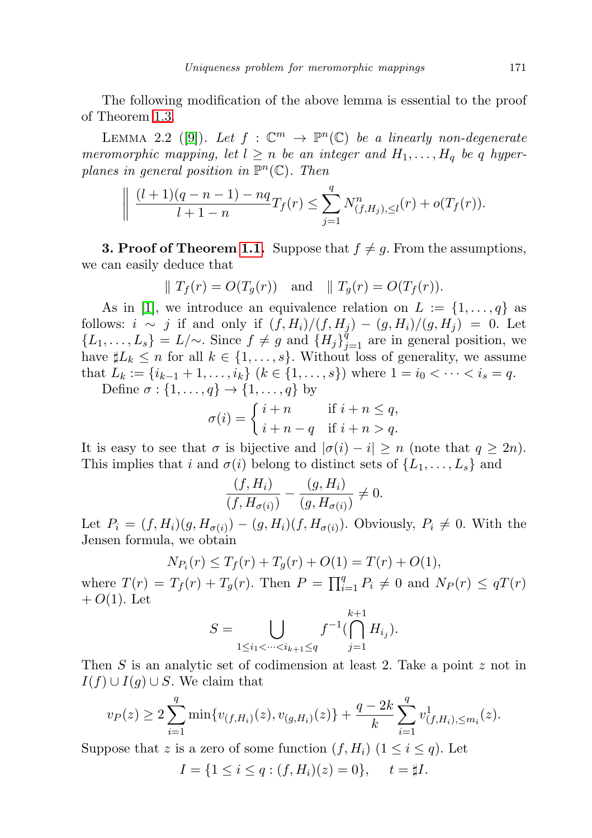The following modification of the above lemma is essential to the proof of Theorem [1.3.](#page-2-0)

LEMMA 2.2 ([\[9\]](#page-13-7)). Let  $f : \mathbb{C}^m \to \mathbb{P}^n(\mathbb{C})$  be a linearly non-degenerate meromorphic mapping, let  $l \geq n$  be an integer and  $H_1, \ldots, H_q$  be q hyperplanes in general position in  $\mathbb{P}^n(\mathbb{C})$ . Then

$$
\left\| \frac{(l+1)(q-n-1)-nq}{l+1-n}T_f(r) \leq \sum_{j=1}^q N^n_{(f,H_j),\leq l}(r) + o(T_f(r)).\right\}
$$

**3. Proof of Theorem [1.1.](#page-1-1)** Suppose that  $f \neq g$ . From the assumptions, we can easily deduce that

$$
\parallel T_f(r) = O(T_g(r)) \quad \text{and} \quad \parallel T_g(r) = O(T_f(r)).
$$

As in [\[1\]](#page-13-4), we introduce an equivalence relation on  $L := \{1, \ldots, q\}$  as follows:  $i \sim j$  if and only if  $(f, H_i)/(f, H_j) - (g, H_i)/(g, H_j) = 0$ . Let  $\{L_1, \ldots, L_s\} = L/\sim$ . Since  $f \neq g$  and  $\{H_j\}_{j=1}^q$  are in general position, we have  $\sharp L_k \leq n$  for all  $k \in \{1, \ldots, s\}$ . Without loss of generality, we assume that  $L_k := \{i_{k-1} + 1, \ldots, i_k\}$   $(k \in \{1, \ldots, s\})$  where  $1 = i_0 < \cdots < i_s = q$ .

Define  $\sigma : \{1, \ldots, q\} \to \{1, \ldots, q\}$  by

$$
\sigma(i) = \begin{cases} i+n & \text{if } i+n \leq q, \\ i+n-q & \text{if } i+n > q. \end{cases}
$$

It is easy to see that  $\sigma$  is bijective and  $|\sigma(i) - i| \geq n$  (note that  $q \geq 2n$ ). This implies that i and  $\sigma(i)$  belong to distinct sets of  $\{L_1, \ldots, L_s\}$  and

$$
\frac{(f, H_i)}{(f, H_{\sigma(i)})} - \frac{(g, H_i)}{(g, H_{\sigma(i)})} \neq 0.
$$

Let  $P_i = (f, H_i)(g, H_{\sigma(i)}) - (g, H_i)(f, H_{\sigma(i)})$ . Obviously,  $P_i \neq 0$ . With the Jensen formula, we obtain

$$
N_{P_i}(r) \le T_f(r) + T_g(r) + O(1) = T(r) + O(1),
$$

where  $T(r) = T_f(r) + T_g(r)$ . Then  $P = \prod_{i=1}^q P_i \neq 0$  and  $N_P(r) \leq qT(r)$  $+ O(1)$ . Let

$$
S = \bigcup_{1 \le i_1 < \dots < i_{k+1} \le q} f^{-1}(\bigcap_{j=1}^{k+1} H_{i_j}).
$$

Then S is an analytic set of codimension at least 2. Take a point z not in  $I(f) \cup I(g) \cup S$ . We claim that

$$
v_P(z) \ge 2\sum_{i=1}^q \min\{v_{(f,H_i)}(z), v_{(g,H_i)}(z)\} + \frac{q-2k}{k} \sum_{i=1}^q v_{(f,H_i),\le m_i}^1(z).
$$

Suppose that z is a zero of some function  $(f, H_i)$   $(1 \leq i \leq q)$ . Let

$$
I = \{1 \le i \le q : (f, H_i)(z) = 0\}, \quad t = \sharp I.
$$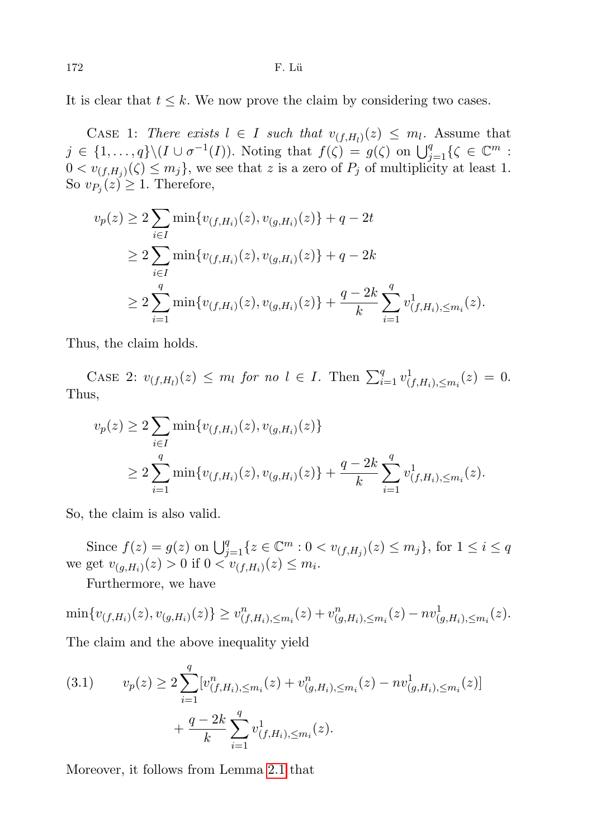It is clear that  $t \leq k$ . We now prove the claim by considering two cases.

CASE 1: There exists  $l \in I$  such that  $v_{(f,H_l)}(z) \leq m_l$ . Assume that  $j \in \{1, \ldots, q\} \setminus (I \cup \sigma^{-1}(I))$ . Noting that  $f(\zeta) = g(\zeta)$  on  $\bigcup_{j=1}^q {\zeta \in \mathbb{C}^m}$ :  $0 < v_{(f,H_j)}(\zeta) \le m_j$ , we see that z is a zero of  $P_j$  of multiplicity at least 1. So  $v_{P_j}(z) \geq 1$ . Therefore,

$$
v_p(z) \ge 2 \sum_{i \in I} \min\{v_{(f,H_i)}(z), v_{(g,H_i)}(z)\} + q - 2t
$$
  
\n
$$
\ge 2 \sum_{i \in I} \min\{v_{(f,H_i)}(z), v_{(g,H_i)}(z)\} + q - 2k
$$
  
\n
$$
\ge 2 \sum_{i=1}^q \min\{v_{(f,H_i)}(z), v_{(g,H_i)}(z)\} + \frac{q - 2k}{k} \sum_{i=1}^q v_{(f,H_i),\le m_i}^1(z).
$$

Thus, the claim holds.

CASE 2:  $v_{(f,H_l)}(z) \leq m_l$  for no  $l \in I$ . Then  $\sum_{i=1}^q v_{(f,H_i),\leq m_i}^1(z) = 0$ . Thus,

$$
v_p(z) \ge 2 \sum_{i \in I} \min\{v_{(f,H_i)}(z), v_{(g,H_i)}(z)\}
$$
  
 
$$
\ge 2 \sum_{i=1}^q \min\{v_{(f,H_i)}(z), v_{(g,H_i)}(z)\} + \frac{q-2k}{k} \sum_{i=1}^q v_{(f,H_i),\le m_i}^1(z).
$$

So, the claim is also valid.

Since  $f(z) = g(z)$  on  $\bigcup_{j=1}^{q} \{z \in \mathbb{C}^m : 0 < v_{(f,H_j)}(z) \leq m_j\}$ , for  $1 \leq i \leq q$ we get  $v_{(g,H_i)}(z) > 0$  if  $0 < v_{(f,H_i)}(z) \leq m_i$ .

Furthermore, we have

 $\min \{v_{(f,H_i)}(z), v_{(g,H_i)}(z)\} \geq v_{(f,H_i),\leq m_i}^n(z) + v_{(g,H_i),\leq m_i}^n(z) - n v_{(g,H_i),\leq m_i}^1(z).$ The claim and the above inequality yield

<span id="page-7-0"></span>(3.1) 
$$
v_p(z) \ge 2 \sum_{i=1}^q [v_{(f,H_i),\le m_i}^n(z) + v_{(g,H_i),\le m_i}^n(z) - nv_{(g,H_i),\le m_i}^1(z)] + \frac{q - 2k}{k} \sum_{i=1}^q v_{(f,H_i),\le m_i}^1(z).
$$

Moreover, it follows from Lemma [2.1](#page-5-0) that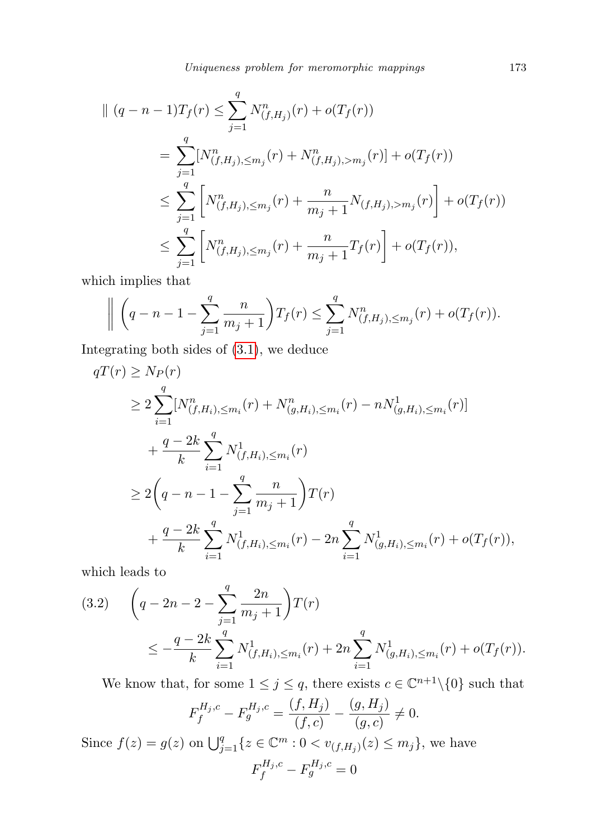$$
\begin{split} \parallel (q-n-1)T_f(r) &\leq \sum_{j=1}^q N^n_{(f,H_j)}(r) + o(T_f(r)) \\ &= \sum_{j=1}^q [N^n_{(f,H_j),\leq m_j}(r) + N^n_{(f,H_j),>m_j}(r)] + o(T_f(r)) \\ &\leq \sum_{j=1}^q \left[ N^n_{(f,H_j),\leq m_j}(r) + \frac{n}{m_j+1} N_{(f,H_j),>m_j}(r) \right] + o(T_f(r)) \\ &\leq \sum_{j=1}^q \left[ N^n_{(f,H_j),\leq m_j}(r) + \frac{n}{m_j+1} T_f(r) \right] + o(T_f(r)), \end{split}
$$

which implies that

$$
\left\| \left( q - n - 1 - \sum_{j=1}^q \frac{n}{m_j + 1} \right) T_f(r) \leq \sum_{j=1}^q N^n_{(f,H_j),\leq m_j}(r) + o(T_f(r)).
$$

Integrating both sides of [\(3.1\)](#page-7-0), we deduce

$$
qT(r) \ge N_P(r)
$$
  
\n
$$
\ge 2 \sum_{i=1}^{q} [N_{(f,H_i),\le m_i}^n(r) + N_{(g,H_i),\le m_i}^n(r) - n N_{(g,H_i),\le m_i}^1(r)]
$$
  
\n
$$
+ \frac{q-2k}{k} \sum_{i=1}^{q} N_{(f,H_i),\le m_i}^1(r)
$$
  
\n
$$
\ge 2\left(q-n-1-\sum_{j=1}^{q} \frac{n}{m_j+1}\right)T(r)
$$
  
\n
$$
+ \frac{q-2k}{k} \sum_{i=1}^{q} N_{(f,H_i),\le m_i}^1(r) - 2n \sum_{i=1}^{q} N_{(g,H_i),\le m_i}^1(r) + o(T_f(r)),
$$

which leads to

<span id="page-8-0"></span>
$$
(3.2) \quad \left(q - 2n - 2 - \sum_{j=1}^{q} \frac{2n}{m_j + 1}\right)T(r) \\ \leq -\frac{q - 2k}{k} \sum_{i=1}^{q} N_{(f,H_i),\leq m_i}^1(r) + 2n \sum_{i=1}^{q} N_{(g,H_i),\leq m_i}^1(r) + o(T_f(r)).
$$

We know that, for some  $1 \leq j \leq q$ , there exists  $c \in \mathbb{C}^{n+1} \setminus \{0\}$  such that

$$
F_f^{H_j,c} - F_g^{H_j,c} = \frac{(f,H_j)}{(f,c)} - \frac{(g,H_j)}{(g,c)} \neq 0.
$$

Since  $f(z) = g(z)$  on  $\bigcup_{j=1}^{q} \{z \in \mathbb{C}^m : 0 < v_{(f,H_j)}(z) \leq m_j\}$ , we have  $F_f^{H_j,c} - F_g^{H_j,c} = 0$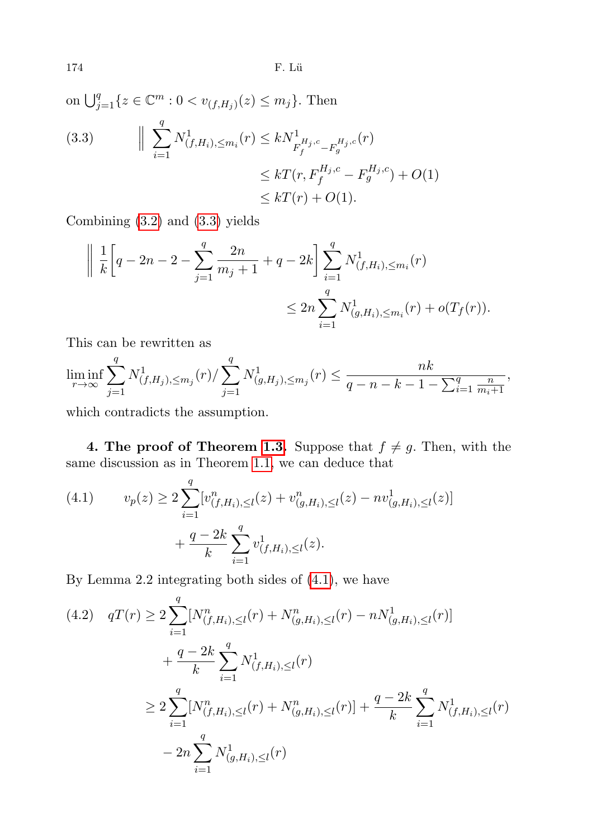174 F. Lü

<span id="page-9-0"></span>on  $\bigcup_{j=1}^q \{z \in \mathbb{C}^m : 0 < v_{(f,H_j)}(z) \leq m_j\}$ . Then  $\begin{array}{c} \hline \end{array}$  $\sum$ q  $\frac{i=1}{i}$ (3.3)  $\left\| \sum_{i=1}^N N^1_{(f,H_i),\leq m_i}(r) \leq k N^1_{F_f^{H_j,c} - F_g^{H_j,c}}(r) \right\|$  $\leq kT(r, F_f^{H_j, c} - F_g^{H_j, c}) + O(1)$  $\leq kT(r) + O(1).$ 

Combining [\(3.2\)](#page-8-0) and [\(3.3\)](#page-9-0) yields

$$
\left\| \frac{1}{k} \left[ q - 2n - 2 - \sum_{j=1}^{q} \frac{2n}{m_j + 1} + q - 2k \right] \sum_{i=1}^{q} N_{(f,H_i),\leq m_i}^1(r) \right\}
$$
  

$$
\leq 2n \sum_{i=1}^{q} N_{(g,H_i),\leq m_i}^1(r) + o(T_f(r)).
$$

This can be rewritten as

$$
\liminf_{r \to \infty} \sum_{j=1}^{q} N_{(f,H_j),\leq m_j}^1(r) / \sum_{j=1}^{q} N_{(g,H_j),\leq m_j}^1(r) \leq \frac{nk}{q-n-k-1-\sum_{i=1}^{q} \frac{n}{m_i+1}},
$$

which contradicts the assumption.

**4. The proof of Theorem [1.3.](#page-2-0)** Suppose that  $f \neq g$ . Then, with the same discussion as in Theorem [1.1,](#page-1-1) we can deduce that

<span id="page-9-1"></span>(4.1) 
$$
v_p(z) \ge 2 \sum_{i=1}^q [v_{(f,H_i),\le l}^n(z) + v_{(g,H_i),\le l}^n(z) - nv_{(g,H_i),\le l}^1(z)] + \frac{q - 2k}{k} \sum_{i=1}^q v_{(f,H_i),\le l}^1(z).
$$

By Lemma 2.2 integrating both sides of [\(4.1\)](#page-9-1), we have

<span id="page-9-2"></span>
$$
(4.2) \quad qT(r) \ge 2 \sum_{i=1}^{q} [N_{(f,H_i),\le l}^n(r) + N_{(g,H_i),\le l}^n(r) - n N_{(g,H_i),\le l}^1(r)] + \frac{q-2k}{k} \sum_{i=1}^{q} N_{(f,H_i),\le l}^1(r) \ge 2 \sum_{i=1}^{q} [N_{(f,H_i),\le l}^n(r) + N_{(g,H_i),\le l}^n(r)] + \frac{q-2k}{k} \sum_{i=1}^{q} N_{(f,H_i),\le l}^1(r) - 2n \sum_{i=1}^{q} N_{(g,H_i),\le l}^1(r)
$$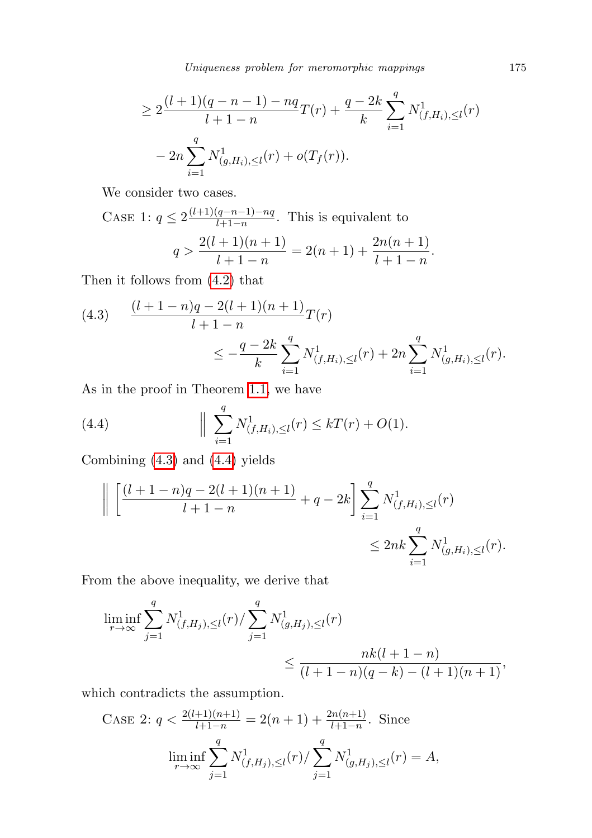Uniqueness problem for meromorphic mappings 175

$$
\geq 2\frac{(l+1)(q-n-1)-nq}{l+1-n}T(r)+\frac{q-2k}{k}\sum_{i=1}^{q}N_{(f,H_i),\leq l}^{1}(r)
$$

$$
-2n\sum_{i=1}^{q}N_{(g,H_i),\leq l}^{1}(r)+o(T_f(r)).
$$

We consider two cases.

CASE 1: 
$$
q \le 2 \frac{(l+1)(q-n-1)-nq}{l+1-n}
$$
. This is equivalent to  

$$
q > \frac{2(l+1)(n+1)}{l+1-n} = 2(n+1) + \frac{2n(n+1)}{l+1-n}.
$$

Then it follows from [\(4.2\)](#page-9-2) that

<span id="page-10-0"></span>
$$
(4.3) \quad \frac{(l+1-n)q-2(l+1)(n+1)}{l+1-n}T(r)
$$
  

$$
\leq -\frac{q-2k}{k} \sum_{i=1}^{q} N_{(f,H_i),\leq l}^1(r) + 2n \sum_{i=1}^{q} N_{(g,H_i),\leq l}^1(r).
$$

As in the proof in Theorem [1.1,](#page-1-1) we have

<span id="page-10-1"></span>(4.4) 
$$
\| \sum_{i=1}^{q} N_{(f,H_i),\le l}^1(r) \le kT(r) + O(1).
$$

Combining [\(4.3\)](#page-10-0) and [\(4.4\)](#page-10-1) yields

$$
\left\| \left[ \frac{(l+1-n)q - 2(l+1)(n+1)}{l+1-n} + q - 2k \right] \sum_{i=1}^{q} N_{(f,H_i),\le l}^1(r) \right\|
$$
  

$$
\leq 2nk \sum_{i=1}^{q} N_{(g,H_i),\le l}^1(r).
$$

From the above inequality, we derive that

$$
\liminf_{r \to \infty} \sum_{j=1}^{q} N_{(f,H_j),\le l}^1(r) / \sum_{j=1}^{q} N_{(g,H_j),\le l}^1(r)
$$
  

$$
\le \frac{nk(l+1-n)}{(l+1-n)(q-k) - (l+1)(n+1)},
$$

which contradicts the assumption.

CASE 2: 
$$
q < \frac{2(l+1)(n+1)}{l+1-n} = 2(n+1) + \frac{2n(n+1)}{l+1-n}
$$
. Since  
\n
$$
\liminf_{r \to \infty} \sum_{j=1}^{q} N_{(f,H_j),\le l}^1(r) / \sum_{j=1}^{q} N_{(g,H_j),\le l}^1(r) = A,
$$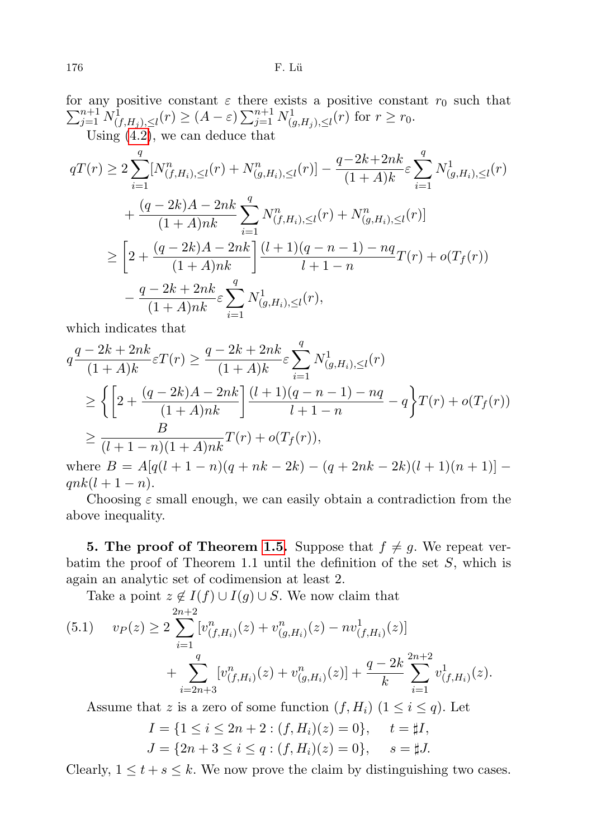for any positive constant  $\varepsilon$  there exists a positive constant  $r_0$  such that  $\sum_{j=1}^{n+1} N^{\overline{1}}_{(f,H_j),\leq l}(r) \geq (A-\varepsilon) \sum_{j=1}^{n+1} N^{\overline{1}}_{(g,H_j),\leq l}(r)$  for  $r \geq r_0$ . Using  $(4.2)$ , we can deduce that

$$
qT(r) \ge 2 \sum_{i=1}^{q} [N_{(f,H_i),\le l}^n(r) + N_{(g,H_i),\le l}^n(r)] - \frac{q-2k+2nk}{(1+A)k} \varepsilon \sum_{i=1}^{q} N_{(g,H_i),\le l}^1(r) + \frac{(q-2k)A - 2nk}{(1+A)nk} \sum_{i=1}^{q} N_{(f,H_i),\le l}^n(r) + N_{(g,H_i),\le l}^n(r)] \ge \left[2 + \frac{(q-2k)A - 2nk}{(1+A)nk}\right] \frac{(l+1)(q-n-1) - nq}{l+1-n} T(r) + o(T_f(r)) -\frac{q-2k+2nk}{(1+A)nk} \varepsilon \sum_{i=1}^{q} N_{(g,H_i),\le l}^1(r),
$$

which indicates that

$$
q \frac{q - 2k + 2nk}{(1 + A)k} \varepsilon T(r) \ge \frac{q - 2k + 2nk}{(1 + A)k} \varepsilon \sum_{i=1}^{q} N^1_{(g, H_i), \le l}(r)
$$
  
\n
$$
\ge \left\{ \left[ 2 + \frac{(q - 2k)A - 2nk}{(1 + A)nk} \right] \frac{(l+1)(q - n - 1) - nq}{l+1 - n} - q \right\} T(r) + o(T_f(r))
$$
  
\n
$$
\ge \frac{B}{(l+1-n)(1 + A)nk} T(r) + o(T_f(r)),
$$
  
\nwhence  $B = A(s(l+1-n)(a + nh - 2k) - (a + 2nk - 2k)(l+1)(n+1)!$ 

where  $B = A[q(l + 1 - n)(q + nk - 2k) - (q + 2nk - 2k)(l + 1)(n + 1)]$  $qnk(l + 1 - n).$ 

Choosing  $\varepsilon$  small enough, we can easily obtain a contradiction from the above inequality.

**5. The proof of Theorem [1.5.](#page-3-1)** Suppose that  $f \neq g$ . We repeat verbatim the proof of Theorem 1.1 until the definition of the set  $S$ , which is again an analytic set of codimension at least 2.

Take a point  $z \notin I(f) \cup I(g) \cup S$ . We now claim that

$$
(5.1) \t vP(z) \ge 2 \sum_{i=1}^{2n+2} [v_{(f,H_i)}^n(z) + v_{(g,H_i)}^n(z) - nv_{(f,H_i)}^1(z)] + \sum_{i=2n+3}^q [v_{(f,H_i)}^n(z) + v_{(g,H_i)}^n(z)] + \frac{q-2k}{k} \sum_{i=1}^{2n+2} v_{(f,H_i)}^1(z).
$$

Assume that z is a zero of some function  $(f, H_i)$   $(1 \leq i \leq q)$ . Let

$$
I = \{1 \le i \le 2n + 2 : (f, H_i)(z) = 0\}, \quad t = \sharp I,
$$
  
\n
$$
J = \{2n + 3 \le i \le q : (f, H_i)(z) = 0\}, \quad s = \sharp J.
$$

Clearly,  $1 \le t + s \le k$ . We now prove the claim by distinguishing two cases.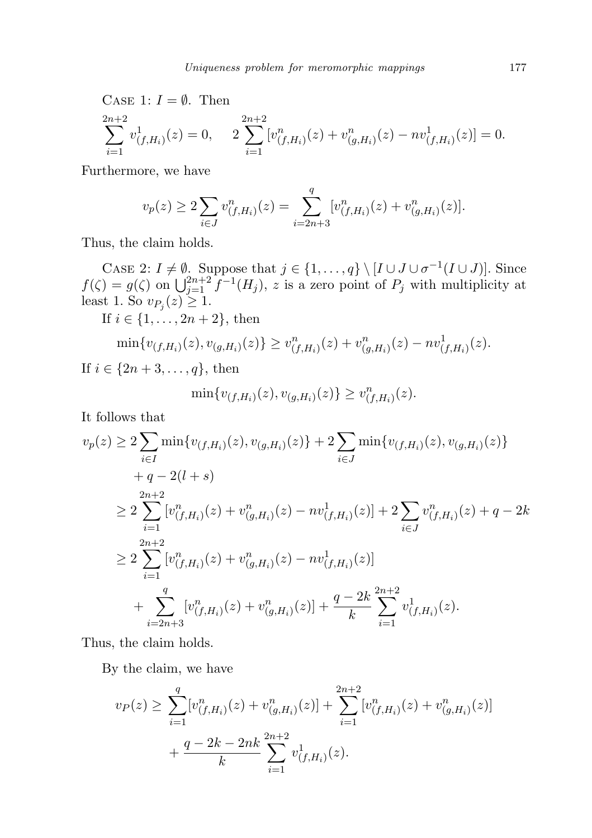CASE 1:  $I = \emptyset$ . Then

$$
\sum_{i=1}^{2n+2} v^1_{(f,H_i)}(z) = 0, \quad 2 \sum_{i=1}^{2n+2} [v^n_{(f,H_i)}(z) + v^n_{(g,H_i)}(z) - nv^n_{(f,H_i)}(z)] = 0.
$$

Furthermore, we have

$$
v_p(z) \ge 2 \sum_{i \in J} v_{(f,H_i)}^n(z) = \sum_{i=2n+3}^q [v_{(f,H_i)}^n(z) + v_{(g,H_i)}^n(z)].
$$

Thus, the claim holds.

CASE 2:  $I \neq \emptyset$ . Suppose that  $j \in \{1, ..., q\} \setminus [I \cup J \cup \sigma^{-1}(I \cup J)]$ . Since  $f(\zeta) = g(\zeta)$  on  $\bigcup_{j=1}^{2n+2} f^{-1}(H_j)$ , z is a zero point of  $P_j$  with multiplicity at least 1. So  $v_{P_j}(z) \geq 1$ .

If  $i \in \{1, ..., 2n + 2\}$ , then

$$
\min\{v_{(f,H_i)}(z),v_{(g,H_i)}(z)\}\geq v_{(f,H_i)}^n(z)+v_{(g,H_i)}^n(z)-nv_{(f,H_i)}^1(z).
$$

If  $i \in \{2n + 3, ..., q\}$ , then

$$
\min\{v_{(f,H_i)}(z), v_{(g,H_i)}(z)\} \ge v_{(f,H_i)}^n(z).
$$

It follows that

$$
v_p(z) \ge 2 \sum_{i \in I} \min\{v_{(f,H_i)}(z), v_{(g,H_i)}(z)\} + 2 \sum_{i \in J} \min\{v_{(f,H_i)}(z), v_{(g,H_i)}(z)\} + q - 2(l + s) \ge 2 \sum_{i=1}^{2n+2} [v_{(f,H_i)}^n(z) + v_{(g,H_i)}^n(z) - nv_{(f,H_i)}^1(z)] + 2 \sum_{i \in J} v_{(f,H_i)}^n(z) + q - 2k \ge 2 \sum_{i=1}^{2n+2} [v_{(f,H_i)}^n(z) + v_{(g,H_i)}^n(z) - nv_{(f,H_i)}^1(z)] + \sum_{i=2n+3}^{q} [v_{(f,H_i)}^n(z) + v_{(g,H_i)}^n(z)] + \frac{q - 2k}{k} \sum_{i=1}^{2n+2} v_{(f,H_i)}^1(z).
$$

Thus, the claim holds.

By the claim, we have

$$
v_P(z) \ge \sum_{i=1}^q [v_{(f,H_i)}^n(z) + v_{(g,H_i)}^n(z)] + \sum_{i=1}^{2n+2} [v_{(f,H_i)}^n(z) + v_{(g,H_i)}^n(z)] + \frac{q - 2k - 2nk}{k} \sum_{i=1}^{2n+2} v_{(f,H_i)}^1(z).
$$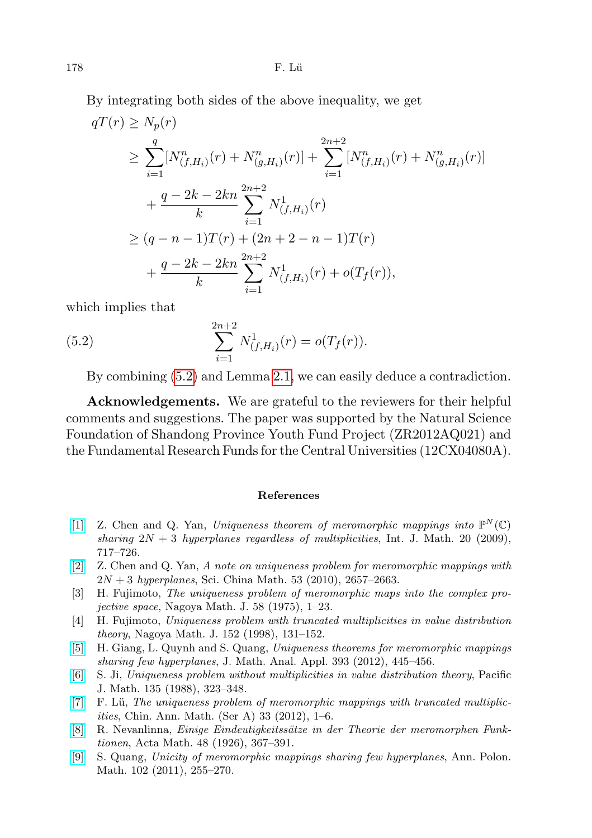By integrating both sides of the above inequality, we get

$$
qT(r) \ge N_p(r)
$$
  
\n
$$
\ge \sum_{i=1}^q [N_{(f,H_i)}^n(r) + N_{(g,H_i)}^n(r)] + \sum_{i=1}^{2n+2} [N_{(f,H_i)}^n(r) + N_{(g,H_i)}^n(r)]
$$
  
\n
$$
+ \frac{q - 2k - 2kn}{k} \sum_{i=1}^{2n+2} N_{(f,H_i)}^1(r)
$$
  
\n
$$
\ge (q - n - 1)T(r) + (2n + 2 - n - 1)T(r)
$$
  
\n
$$
+ \frac{q - 2k - 2kn}{k} \sum_{i=1}^{2n+2} N_{(f,H_i)}^1(r) + o(T_f(r)),
$$

which implies that

(5.2) 
$$
\sum_{i=1}^{2n+2} N_{(f,H_i)}^1(r) = o(T_f(r)).
$$

<span id="page-13-8"></span>By combining [\(5.2\)](#page-13-8) and Lemma [2.1,](#page-5-0) we can easily deduce a contradiction.

Acknowledgements. We are grateful to the reviewers for their helpful comments and suggestions. The paper was supported by the Natural Science Foundation of Shandong Province Youth Fund Project (ZR2012AQ021) and the Fundamental Research Funds for the Central Universities (12CX04080A).

## References

- <span id="page-13-4"></span>[\[1\]](http://dx.doi.org/10.1142/S0129167X09005492) Z. Chen and Q. Yan, Uniqueness theorem of meromorphic mappings into  $\mathbb{P}^N(\mathbb{C})$ sharing  $2N + 3$  hyperplanes regardless of multiplicities, Int. J. Math. 20 (2009), 717–726.
- <span id="page-13-2"></span>[\[2\]](http://dx.doi.org/10.1007/s11425-010-3137-1) Z. Chen and Q. Yan, A note on uniqueness problem for meromorphic mappings with  $2N + 3$  hyperplanes, Sci. China Math. 53 (2010), 2657–2663.
- <span id="page-13-0"></span>[3] H. Fujimoto, The uniqueness problem of meromorphic maps into the complex projective space, Nagoya Math. J. 58 (1975), 1–23.
- <span id="page-13-1"></span>[4] H. Fujimoto, Uniqueness problem with truncated multiplicities in value distribution theory, Nagoya Math. J. 152 (1998), 131–152.
- <span id="page-13-5"></span>[\[5\]](http://dx.doi.org/10.1016/j.jmaa.2012.03.049) H. Giang, L. Quynh and S. Quang, Uniqueness theorems for meromorphic mappings sharing few hyperplanes, J. Math. Anal. Appl. 393 (2012), 445–456.
- <span id="page-13-3"></span>[\[6\]](http://dx.doi.org/10.2140/pjm.1988.135.323) S. Ji, Uniqueness problem without multiplicities in value distribution theory, Pacific J. Math. 135 (1988), 323–348.
- <span id="page-13-6"></span> $[7]$  F. Lü, The uniqueness problem of meromorphic mappings with truncated multiplicities, Chin. Ann. Math. (Ser A) 33 (2012), 1–6.
- [\[8\]](http://dx.doi.org/10.1007/BF02565342) R. Nevanlinna, Einige Eindeutigkeitssätze in der Theorie der meromorphen Funktionen, Acta Math. 48 (1926), 367–391.
- <span id="page-13-7"></span>[\[9\]](http://dx.doi.org/10.4064/ap102-3-5) S. Quang, Unicity of meromorphic mappings sharing few hyperplanes, Ann. Polon. Math. 102 (2011), 255–270.